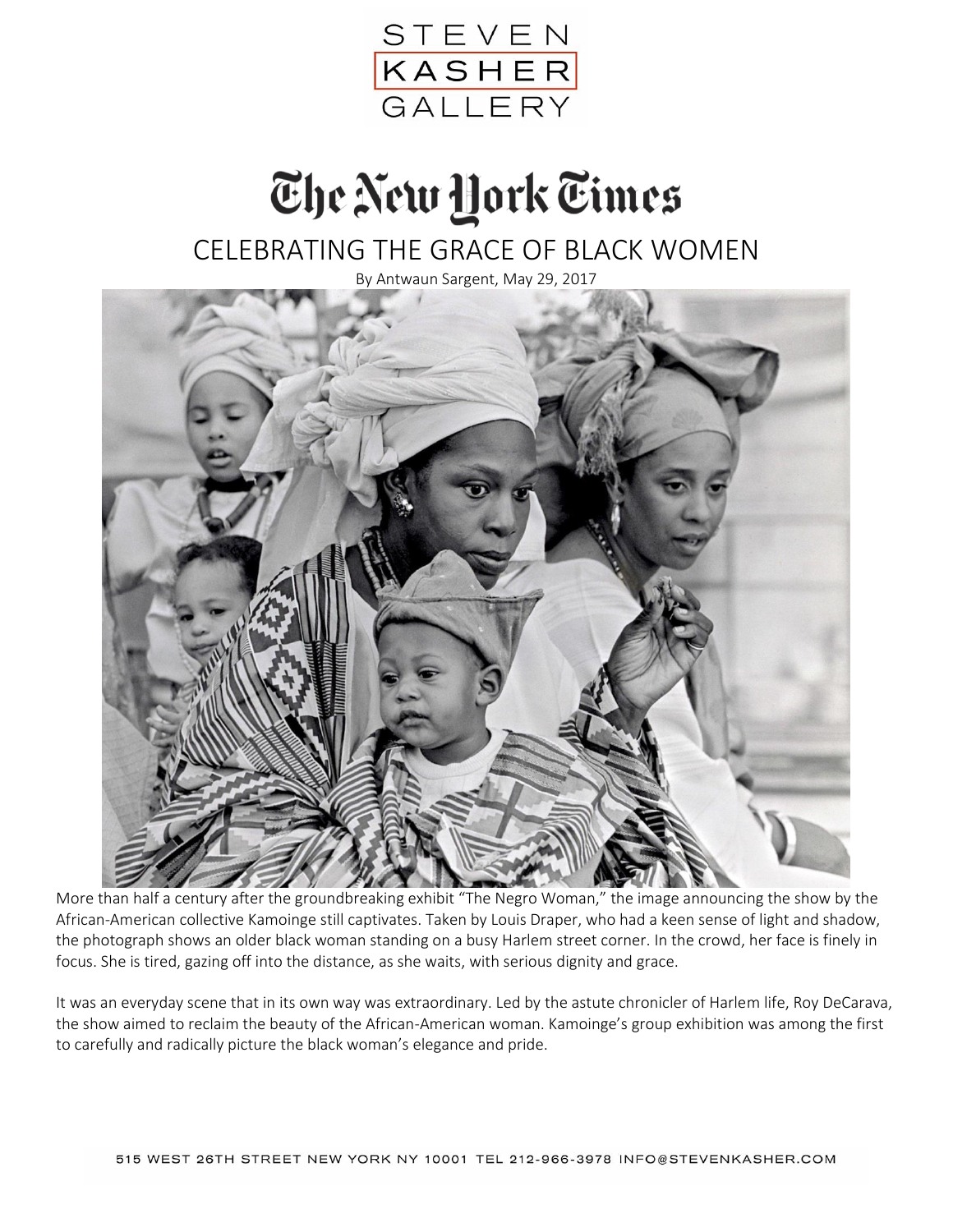

## The New York Times

## CELEBRATING THE GRACE OF BLACK WOMEN

By Antwaun Sargent, May 29, 2017



More than half a century after the groundbreaking exhibit "The Negro Woman," the image announcing the show by the African-American collective Kamoinge still captivates. Taken by Louis Draper, who had a keen sense of light and shadow, the photograph shows an older black woman standing on a busy Harlem street corner. In the crowd, her face is finely in focus. She is tired, gazing off into the distance, as she waits, with serious dignity and grace.

It was an everyday scene that in its own way was extraordinary. Led by the astute chronicler of Harlem life, Roy DeCarava, the show aimed to reclaim the beauty of the African-American woman. Kamoinge's group exhibition was among the first to carefully and radically picture the black woman's elegance and pride.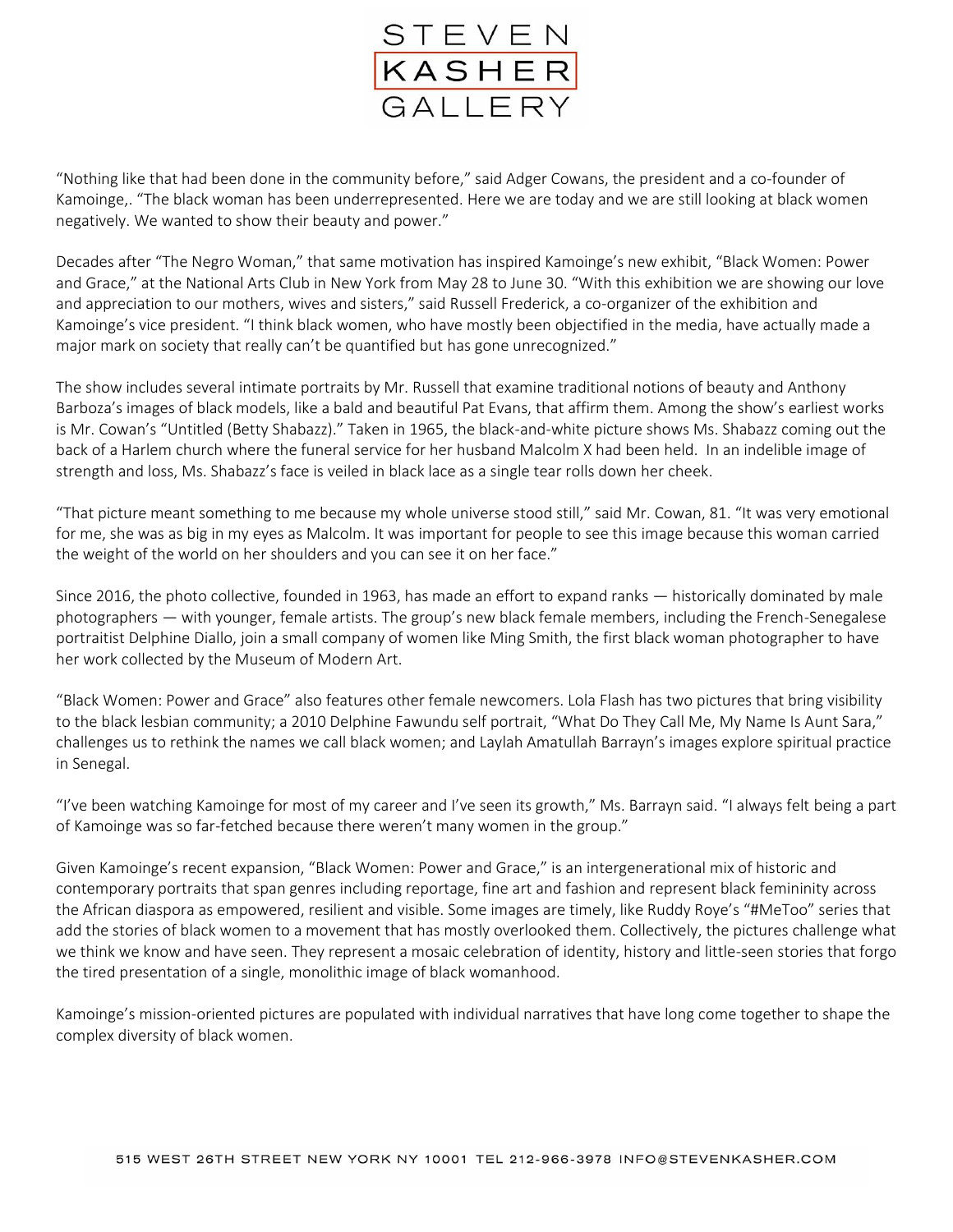

"Nothing like that had been done in the community before," said Adger Cowans, the president and a co-founder of Kamoinge,. "The black woman has been underrepresented. Here we are today and we are still looking at black women negatively. We wanted to show their beauty and power."

Decades after "The Negro Woman," that same motivation has inspired Kamoinge's new exhibit, "Black Women: Power and Grace," at the National Arts Club in New York from May 28 to June 30. "With this exhibition we are showing our love and appreciation to our mothers, wives and sisters," said Russell Frederick, a co-organizer of the exhibition and Kamoinge's vice president. "I think black women, who have mostly been objectified in the media, have actually made a major mark on society that really can't be quantified but has gone unrecognized."

The show includes several intimate portraits by Mr. Russell that examine traditional notions of beauty and Anthony Barboza's images of black models, like a bald and beautiful Pat Evans, that affirm them. Among the show's earliest works is Mr. Cowan's "Untitled (Betty Shabazz)." Taken in 1965, the black-and-white picture shows Ms. Shabazz coming out the back of a Harlem church where the funeral service for her husband Malcolm X had been held. In an indelible image of strength and loss, Ms. Shabazz's face is veiled in black lace as a single tear rolls down her cheek.

"That picture meant something to me because my whole universe stood still," said Mr. Cowan, 81. "It was very emotional for me, she was as big in my eyes as Malcolm. It was important for people to see this image because this woman carried the weight of the world on her shoulders and you can see it on her face."

Since 2016, the photo collective, founded in 1963, has made an effort to expand ranks — historically dominated by male photographers — with younger, female artists. The group's new black female members, including the French-Senegalese portraitist Delphine Diallo, join a small company of women like Ming Smith, the first black woman photographer to have her work collected by the Museum of Modern Art.

"Black Women: Power and Grace" also features other female newcomers. Lola Flash has two pictures that bring visibility to the black lesbian community; a 2010 Delphine Fawundu self portrait, "What Do They Call Me, My Name Is Aunt Sara," challenges us to rethink the names we call black women; and Laylah Amatullah Barrayn's images explore spiritual practice in Senegal.

"I've been watching Kamoinge for most of my career and I've seen its growth," Ms. Barrayn said. "I always felt being a part of Kamoinge was so far-fetched because there weren't many women in the group."

Given Kamoinge's recent expansion, "Black Women: Power and Grace," is an intergenerational mix of historic and contemporary portraits that span genres including reportage, fine art and fashion and represent black femininity across the African diaspora as empowered, resilient and visible. Some images are timely, like Ruddy Roye's "#MeToo" series that add the stories of black women to a movement that has mostly overlooked them. Collectively, the pictures challenge what we think we know and have seen. They represent a mosaic celebration of identity, history and little-seen stories that forgo the tired presentation of a single, monolithic image of black womanhood.

Kamoinge's mission-oriented pictures are populated with individual narratives that have long come together to shape the complex diversity of black women.